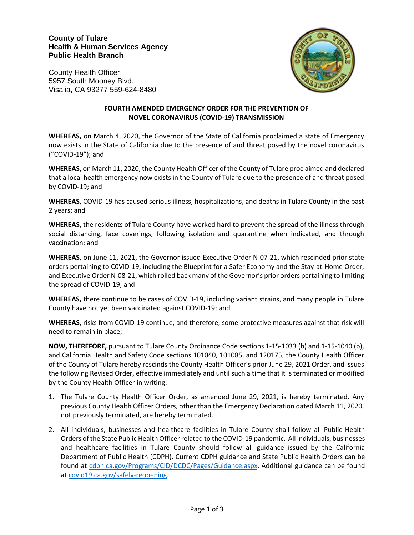## **County of Tulare Health & Human Services Agency Public Health Branch**





## **FOURTH AMENDED EMERGENCY ORDER FOR THE PREVENTION OF NOVEL CORONAVIRUS (COVID-19) TRANSMISSION**

**WHEREAS,** on March 4, 2020, the Governor of the State of California proclaimed a state of Emergency now exists in the State of California due to the presence of and threat posed by the novel coronavirus ("COVID-19"); and

**WHEREAS,** on March 11, 2020, the County Health Officer of the County of Tulare proclaimed and declared that a local health emergency now exists in the County of Tulare due to the presence of and threat posed by COVID-19; and

**WHEREAS,** COVID-19 has caused serious illness, hospitalizations, and deaths in Tulare County in the past 2 years; and

**WHEREAS,** the residents of Tulare County have worked hard to prevent the spread of the illness through social distancing, face coverings, following isolation and quarantine when indicated, and through vaccination; and

**WHEREAS,** on June 11, 2021, the Governor issued Executive Order N-07-21, which rescinded prior state orders pertaining to C0VID-19, including the Blueprint for a Safer Economy and the Stay-at-Home Order, and Executive Order N-08-21, which rolled back many of the Governor's prior orders pertaining to limiting the spread of COVID-19; and

**WHEREAS,** there continue to be cases of COVID-19, including variant strains, and many people in Tulare County have not yet been vaccinated against COVID-19; and

**WHEREAS,** risks from COVID-19 continue, and therefore, some protective measures against that risk will need to remain in place;

**NOW, THEREFORE,** pursuant to Tulare County Ordinance Code sections 1-15-1033 (b) and 1-15-1040 (b), and California Health and Safety Code sections 101040, 101085, and 120175, the County Health Officer of the County of Tulare hereby rescinds the County Health Officer's prior June 29, 2021 Order, and issues the following Revised Order, effective immediately and until such a time that it is terminated or modified by the County Health Officer in writing:

- 1. The Tulare County Health Officer Order, as amended June 29, 2021, is hereby terminated. Any previous County Health Officer Orders, other than the Emergency Declaration dated March 11, 2020, not previously terminated, are hereby terminated.
- 2. All individuals, businesses and healthcare facilities in Tulare County shall follow all Public Health Orders of the State Public Health Officer related to the COVID-19 pandemic. All individuals, businesses and healthcare facilities in Tulare County should follow all guidance issued by the California Department of Public Health (CDPH). Current CDPH guidance and State Public Health Orders can be found at [cdph.ca.gov/Programs/CID/DCDC/Pages/Guidance.aspx.](https://www.cdph.ca.gov/Programs/CID/DCDC/Pages/Guidance.aspx) Additional guidance can be found at [covid19.ca.gov/safely-reopening.](https://covid19.ca.gov/safely-reopening)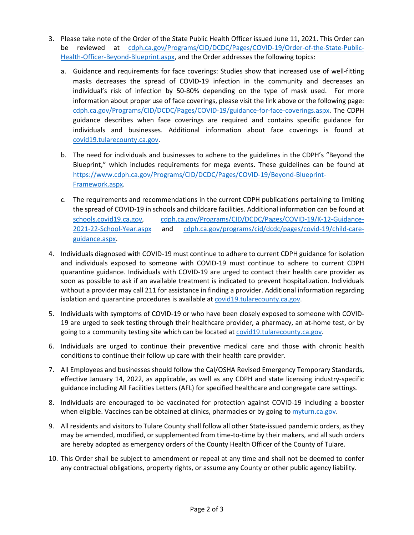- 3. Please take note of the Order of the State Public Health Officer issued June 11, 2021. This Order can be reviewed at [cdph.ca.gov/Programs/CID/DCDC/Pages/COVID-19/Order-of-the-State-Public-](https://www.cdph.ca.gov/Programs/CID/DCDC/Pages/COVID-19/Order-of-the-State-Public-Health-Officer-Beyond-Blueprint.aspx)[Health-Officer-Beyond-Blueprint.aspx,](https://www.cdph.ca.gov/Programs/CID/DCDC/Pages/COVID-19/Order-of-the-State-Public-Health-Officer-Beyond-Blueprint.aspx) and the Order addresses the following topics:
	- a. Guidance and requirements for face coverings: Studies show that increased use of well-fitting masks decreases the spread of COVID-19 infection in the community and decreases an individual's risk of infection by 50-80% depending on the type of mask used. For more information about proper use of face coverings, please visit the link above or the following page: [cdph.ca.gov/Programs/CID/DCDC/Pages/COVID-19/guidance-for-face-coverings.aspx.](https://www.cdph.ca.gov/Programs/CID/DCDC/Pages/COVID-19/guidance-for-face-coverings.aspx) The CDPH guidance describes when face coverings are required and contains specific guidance for individuals and businesses. Additional information about face coverings is found at [covid19.tularecounty.ca.gov.](https://covid19.tularecounty.ca.gov/)
	- b. The need for individuals and businesses to adhere to the guidelines in the CDPH's "Beyond the Blueprint," which includes requirements for mega events. These guidelines can be found at [https://www.cdph.ca.gov/Programs/CID/DCDC/Pages/COVID-19/Beyond-Blueprint-](https://www.cdph.ca.gov/Programs/CID/DCDC/Pages/COVID-19/Beyond-Blueprint-Framework.aspx)[Framework.aspx.](https://www.cdph.ca.gov/Programs/CID/DCDC/Pages/COVID-19/Beyond-Blueprint-Framework.aspx)
	- c. The requirements and recommendations in the current CDPH publications pertaining to limiting the spread of COVID-19 in schools and childcare facilities. Additional information can be found at [schools.covid19.ca.gov,](https://schools.covid19.ca.gov/) [cdph.ca.gov/Programs/CID/DCDC/Pages/COVID-19/K-12-Guidance-](https://www.cdph.ca.gov/Programs/CID/DCDC/Pages/COVID-19/K-12-Guidance-2021-22-School-Year.aspx)[2021-22-School-Year.aspx](https://www.cdph.ca.gov/Programs/CID/DCDC/Pages/COVID-19/K-12-Guidance-2021-22-School-Year.aspx) and [cdph.ca.gov/programs/cid/dcdc/pages/covid-19/child-care](https://cdph.ca.gov/programs/cid/dcdc/pages/covid-19/child-care-guidance.aspx)[guidance.aspx.](https://cdph.ca.gov/programs/cid/dcdc/pages/covid-19/child-care-guidance.aspx)
- 4. Individuals diagnosed with COVID-19 must continue to adhere to current CDPH guidance for isolation and individuals exposed to someone with COVID-19 must continue to adhere to current CDPH quarantine guidance. Individuals with COVID-19 are urged to contact their health care provider as soon as possible to ask if an available treatment is indicated to prevent hospitalization. Individuals without a provider may call 211 for assistance in finding a provider. Additional information regarding isolation and quarantine procedures is available a[t covid19.tularecounty.ca.gov.](https://covid19.tularecounty.ca.gov/)
- 5. Individuals with symptoms of COVID-19 or who have been closely exposed to someone with COVID-19 are urged to seek testing through their healthcare provider, a pharmacy, an at-home test, or by going to a community testing site which can be located a[t covid19.tularecounty.ca.gov.](https://covid19.tularecounty.ca.gov/)
- 6. Individuals are urged to continue their preventive medical care and those with chronic health conditions to continue their follow up care with their health care provider.
- 7. All Employees and businesses should follow the Cal/OSHA Revised Emergency Temporary Standards, effective January 14, 2022, as applicable, as well as any CDPH and state licensing industry-specific guidance including All Facilities Letters (AFL) for specified healthcare and congregate care settings.
- 8. Individuals are encouraged to be vaccinated for protection against COVID-19 including a booster when eligible. Vaccines can be obtained at clinics, pharmacies or by going to [myturn.ca.gov.](https://myturn.ca.gov/)
- 9. All residents and visitors to Tulare County shall follow all other State-issued pandemic orders, as they may be amended, modified, or supplemented from time-to-time by their makers, and all such orders are hereby adopted as emergency orders of the County Health Officer of the County of Tulare.
- 10. This Order shall be subject to amendment or repeal at any time and shall not be deemed to confer any contractual obligations, property rights, or assume any County or other public agency liability.